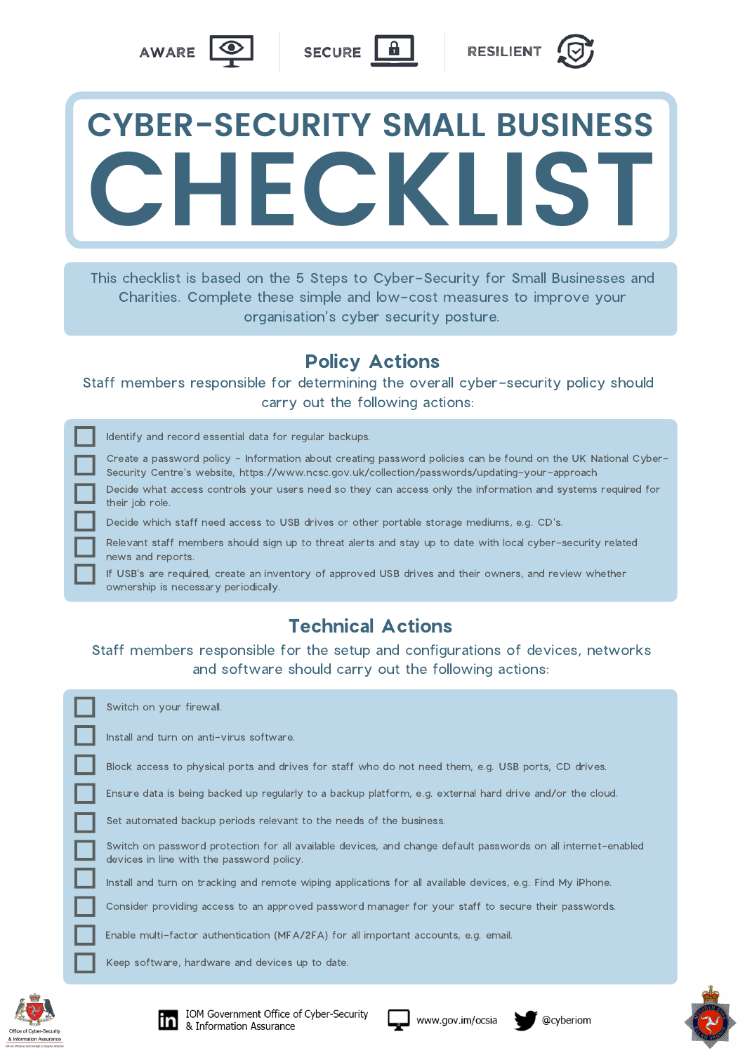This checklist is based on the 5 Steps to Cyber-Security for Small Businesses and Charities. Complete these simple and low-cost measures to improve your organisation's cyber security posture.



## **CYBER-SECURITY SMALL BUSINESS CHECKLIST**

Identify and record essential data for regular backups.

| Create a password policy - Information about creating password policies can be found on the UK National Cyber- |
|----------------------------------------------------------------------------------------------------------------|
| Security Centre's website, https://www.ncsc.gov.uk/collection/passwords/updating-your-approach                 |

Staff members responsible for determining the overall cyber-security policy should carry out the following actions:

## Policy Actions

Decide what access controls your users need so they can access only the information and systems required for their job role.

Decide which staff need access to USB drives or other portable storage mediums, e.g. CD's.

Relevant staff members should sign up to threat alerts and stay up to date with local cyber-security related news and reports.

If USB's are required, create an inventory of approved USB drives and their owners, and review whether ownership is necessary periodically.

## Technical Actions

Staff members responsible for the setup and configurations of devices, networks and software should carry out the following actions:

Switch on your firewall.

Install and turn on anti-virus software.

Block access to physical ports and drives for staff who do not need them, e.g. USB ports, CD drives.

Ensure data is being backed up regularly to a backup platform, e.g. external hard drive and/or the cloud.

Set automated backup periods relevant to the needs of the business.

Switch on password protection for all available devices, and change default passwords on all internet-enabled devices in line with the password policy.

Install and turn on tracking and remote wiping applications for all available devices, e.g. Find My iPhone.

Consider providing access to an approved password manager for your staff to secure their passwords.

Enable multi-factor authentication (MFA/2FA) for all important accounts, e.g. email.

Keep software, hardware and devices up to date.